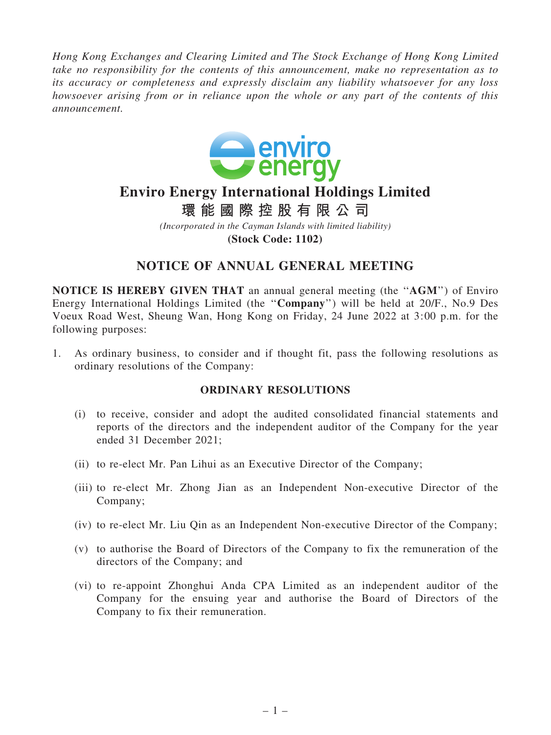*Hong Kong Exchanges and Clearing Limited and The Stock Exchange of Hong Kong Limited take no responsibility for the contents of this announcement, make no representation as to its accuracy or completeness and expressly disclaim any liability whatsoever for any loss howsoever arising from or in reliance upon the whole or any part of the contents of this announcement.*



# **Enviro Energy International Holdings Limited**

**環 能 國 際 控 股 有 限 公 司**

*(Incorporated in the Cayman Islands with limited liability)* **(Stock Code: 1102)**

# NOTICE OF ANNUAL GENERAL MEETING

NOTICE IS HEREBY GIVEN THAT an annual general meeting (the ''AGM'') of Enviro Energy International Holdings Limited (the ''Company'') will be held at 20/F., No.9 Des Voeux Road West, Sheung Wan, Hong Kong on Friday, 24 June 2022 at 3:00 p.m. for the following purposes:

1. As ordinary business, to consider and if thought fit, pass the following resolutions as ordinary resolutions of the Company:

## ORDINARY RESOLUTIONS

- (i) to receive, consider and adopt the audited consolidated financial statements and reports of the directors and the independent auditor of the Company for the year ended 31 December 2021;
- (ii) to re-elect Mr. Pan Lihui as an Executive Director of the Company;
- (iii) to re-elect Mr. Zhong Jian as an Independent Non-executive Director of the Company;
- (iv) to re-elect Mr. Liu Qin as an Independent Non-executive Director of the Company;
- (v) to authorise the Board of Directors of the Company to fix the remuneration of the directors of the Company; and
- (vi) to re-appoint Zhonghui Anda CPA Limited as an independent auditor of the Company for the ensuing year and authorise the Board of Directors of the Company to fix their remuneration.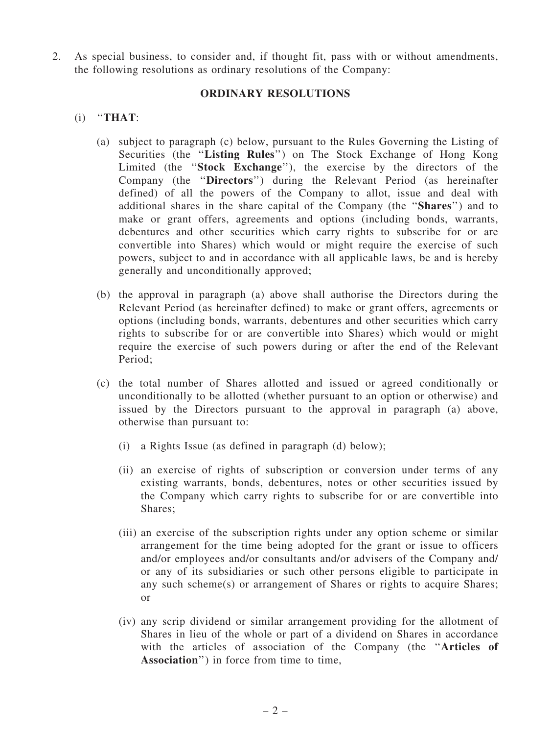2. As special business, to consider and, if thought fit, pass with or without amendments, the following resolutions as ordinary resolutions of the Company:

#### ORDINARY RESOLUTIONS

### $(i)$  "THAT:

- (a) subject to paragraph (c) below, pursuant to the Rules Governing the Listing of Securities (the "Listing Rules") on The Stock Exchange of Hong Kong Limited (the ''Stock Exchange''), the exercise by the directors of the Company (the ''Directors'') during the Relevant Period (as hereinafter defined) of all the powers of the Company to allot, issue and deal with additional shares in the share capital of the Company (the ''Shares'') and to make or grant offers, agreements and options (including bonds, warrants, debentures and other securities which carry rights to subscribe for or are convertible into Shares) which would or might require the exercise of such powers, subject to and in accordance with all applicable laws, be and is hereby generally and unconditionally approved;
- (b) the approval in paragraph (a) above shall authorise the Directors during the Relevant Period (as hereinafter defined) to make or grant offers, agreements or options (including bonds, warrants, debentures and other securities which carry rights to subscribe for or are convertible into Shares) which would or might require the exercise of such powers during or after the end of the Relevant Period;
- (c) the total number of Shares allotted and issued or agreed conditionally or unconditionally to be allotted (whether pursuant to an option or otherwise) and issued by the Directors pursuant to the approval in paragraph (a) above, otherwise than pursuant to:
	- (i) a Rights Issue (as defined in paragraph (d) below);
	- (ii) an exercise of rights of subscription or conversion under terms of any existing warrants, bonds, debentures, notes or other securities issued by the Company which carry rights to subscribe for or are convertible into Shares;
	- (iii) an exercise of the subscription rights under any option scheme or similar arrangement for the time being adopted for the grant or issue to officers and/or employees and/or consultants and/or advisers of the Company and/ or any of its subsidiaries or such other persons eligible to participate in any such scheme(s) or arrangement of Shares or rights to acquire Shares; or
	- (iv) any scrip dividend or similar arrangement providing for the allotment of Shares in lieu of the whole or part of a dividend on Shares in accordance with the articles of association of the Company (the "Articles of Association'') in force from time to time,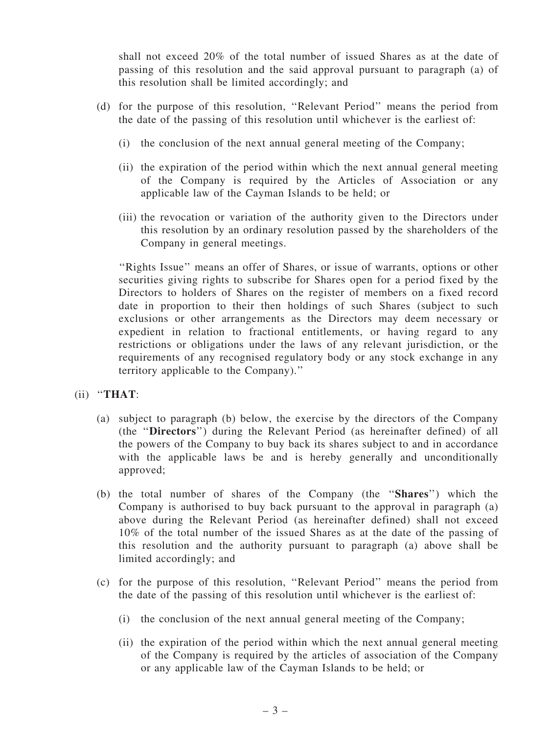shall not exceed 20% of the total number of issued Shares as at the date of passing of this resolution and the said approval pursuant to paragraph (a) of this resolution shall be limited accordingly; and

- (d) for the purpose of this resolution, ''Relevant Period'' means the period from the date of the passing of this resolution until whichever is the earliest of:
	- (i) the conclusion of the next annual general meeting of the Company;
	- (ii) the expiration of the period within which the next annual general meeting of the Company is required by the Articles of Association or any applicable law of the Cayman Islands to be held; or
	- (iii) the revocation or variation of the authority given to the Directors under this resolution by an ordinary resolution passed by the shareholders of the Company in general meetings.

''Rights Issue'' means an offer of Shares, or issue of warrants, options or other securities giving rights to subscribe for Shares open for a period fixed by the Directors to holders of Shares on the register of members on a fixed record date in proportion to their then holdings of such Shares (subject to such exclusions or other arrangements as the Directors may deem necessary or expedient in relation to fractional entitlements, or having regard to any restrictions or obligations under the laws of any relevant jurisdiction, or the requirements of any recognised regulatory body or any stock exchange in any territory applicable to the Company).''

(ii) ''THAT:

- (a) subject to paragraph (b) below, the exercise by the directors of the Company (the ''Directors'') during the Relevant Period (as hereinafter defined) of all the powers of the Company to buy back its shares subject to and in accordance with the applicable laws be and is hereby generally and unconditionally approved;
- (b) the total number of shares of the Company (the ''Shares'') which the Company is authorised to buy back pursuant to the approval in paragraph (a) above during the Relevant Period (as hereinafter defined) shall not exceed 10% of the total number of the issued Shares as at the date of the passing of this resolution and the authority pursuant to paragraph (a) above shall be limited accordingly; and
- (c) for the purpose of this resolution, ''Relevant Period'' means the period from the date of the passing of this resolution until whichever is the earliest of:
	- (i) the conclusion of the next annual general meeting of the Company;
	- (ii) the expiration of the period within which the next annual general meeting of the Company is required by the articles of association of the Company or any applicable law of the Cayman Islands to be held; or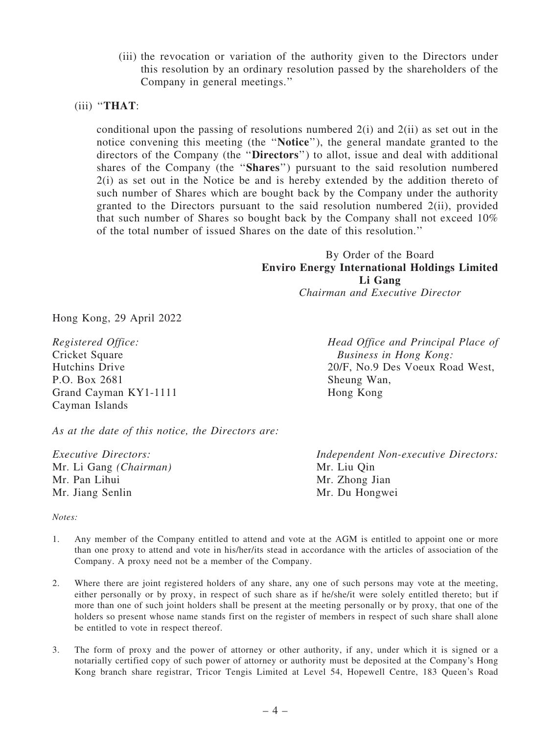(iii) the revocation or variation of the authority given to the Directors under this resolution by an ordinary resolution passed by the shareholders of the Company in general meetings.''

#### (iii) ''THAT:

conditional upon the passing of resolutions numbered  $2(i)$  and  $2(ii)$  as set out in the notice convening this meeting (the ''Notice''), the general mandate granted to the directors of the Company (the ''Directors'') to allot, issue and deal with additional shares of the Company (the ''Shares'') pursuant to the said resolution numbered 2(i) as set out in the Notice be and is hereby extended by the addition thereto of such number of Shares which are bought back by the Company under the authority granted to the Directors pursuant to the said resolution numbered 2(ii), provided that such number of Shares so bought back by the Company shall not exceed 10% of the total number of issued Shares on the date of this resolution.''

> By Order of the Board Enviro Energy International Holdings Limited Li Gang *Chairman and Executive Director*

Hong Kong, 29 April 2022

*Registered Office:* Cricket Square Hutchins Drive P.O. Box 2681 Grand Cayman KY1-1111 Cayman Islands

*Head Office and Principal Place of Business in Hong Kong:* 20/F, No.9 Des Voeux Road West, Sheung Wan, Hong Kong

*Independent Non-executive Directors:*

Mr. Liu Qin Mr. Zhong Jian Mr. Du Hongwei

*As at the date of this notice, the Directors are:*

Company. A proxy need not be a member of the Company.

*Executive Directors:* Mr. Li Gang *(Chairman)* Mr. Pan Lihui Mr. Jiang Senlin

- *Notes:* 1. Any member of the Company entitled to attend and vote at the AGM is entitled to appoint one or more than one proxy to attend and vote in his/her/its stead in accordance with the articles of association of the
- 2. Where there are joint registered holders of any share, any one of such persons may vote at the meeting, either personally or by proxy, in respect of such share as if he/she/it were solely entitled thereto; but if more than one of such joint holders shall be present at the meeting personally or by proxy, that one of the holders so present whose name stands first on the register of members in respect of such share shall alone be entitled to vote in respect thereof.
- 3. The form of proxy and the power of attorney or other authority, if any, under which it is signed or a notarially certified copy of such power of attorney or authority must be deposited at the Company's Hong Kong branch share registrar, Tricor Tengis Limited at Level 54, Hopewell Centre, 183 Queen's Road